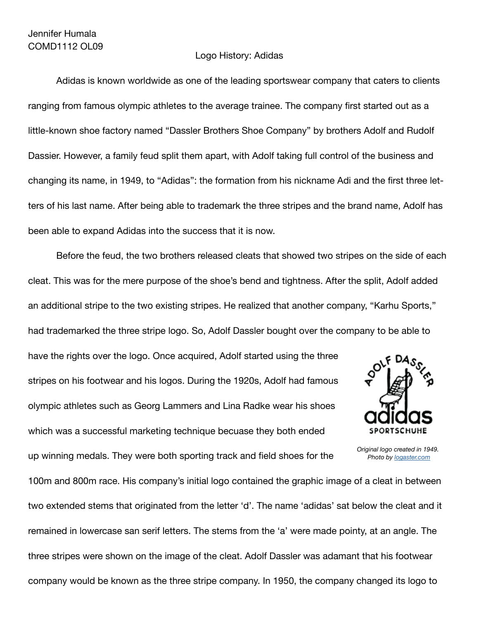## Logo History: Adidas

Adidas is known worldwide as one of the leading sportswear company that caters to clients ranging from famous olympic athletes to the average trainee. The company first started out as a little-known shoe factory named "Dassler Brothers Shoe Company" by brothers Adolf and Rudolf Dassier. However, a family feud split them apart, with Adolf taking full control of the business and changing its name, in 1949, to "Adidas": the formation from his nickname Adi and the first three letters of his last name. After being able to trademark the three stripes and the brand name, Adolf has been able to expand Adidas into the success that it is now.

Before the feud, the two brothers released cleats that showed two stripes on the side of each cleat. This was for the mere purpose of the shoe's bend and tightness. After the split, Adolf added an additional stripe to the two existing stripes. He realized that another company, "Karhu Sports," had trademarked the three stripe logo. So, Adolf Dassler bought over the company to be able to

have the rights over the logo. Once acquired, Adolf started using the three stripes on his footwear and his logos. During the 1920s, Adolf had famous olympic athletes such as Georg Lammers and Lina Radke wear his shoes which was a successful marketing technique becuase they both ended

up winning medals. They were both sporting track and field shoes for the



*Original logo created in 1949. Photo by logaster.com*

100m and 800m race. His company's initial logo contained the graphic image of a cleat in between two extended stems that originated from the letter 'd'. The name 'adidas' sat below the cleat and it remained in lowercase san serif letters. The stems from the 'a' were made pointy, at an angle. The three stripes were shown on the image of the cleat. Adolf Dassler was adamant that his footwear company would be known as the three stripe company. In 1950, the company changed its logo to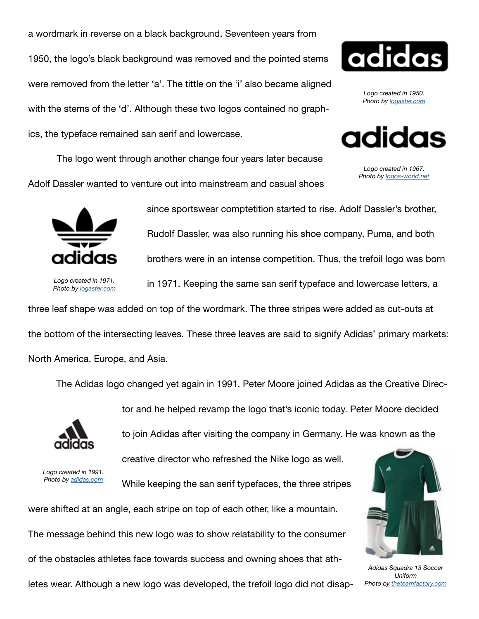a wordmark in reverse on a black background. Seventeen years from 1950, the logo's black background was removed and the pointed stems were removed from the letter 'a'. The tittle on the 'i' also became aligned with the stems of the 'd'. Although these two logos contained no graphics, the typeface remained san serif and lowercase.

adidas

*Logo created in 1950. Photo by logaster.com*



*Logo created in 1967. Photo by logos-world.net*

 The logo went through another change four years later because Adolf Dassler wanted to venture out into mainstream and casual shoes



*Logo created in 1971. Photo by logaster.com*

since sportswear comptetition started to rise. Adolf Dassler's brother, Rudolf Dassler, was also running his shoe company, Puma, and both brothers were in an intense competition. Thus, the trefoil logo was born in 1971. Keeping the same san serif typeface and lowercase letters, a

three leaf shape was added on top of the wordmark. The three stripes were added as cut-outs at the bottom of the intersecting leaves. These three leaves are said to signify Adidas' primary markets: North America, Europe, and Asia.

The Adidas logo changed yet again in 1991. Peter Moore joined Adidas as the Creative Direc-



tor and he helped revamp the logo that's iconic today. Peter Moore decided

to join Adidas after visiting the company in Germany. He was known as the

*Logo created in 1991. Photo by adidas.com* creative director who refreshed the Nike logo as well.

While keeping the san serif typefaces, the three stripes

were shifted at an angle, each stripe on top of each other, like a mountain.

The message behind this new logo was to show relatability to the consumer

of the obstacles athletes face towards success and owning shoes that ath-

letes wear. Although a new logo was developed, the trefoil logo did not disap-



*Adidas Squadra 13 Soccer Uniform Photo by theteamfactory.com*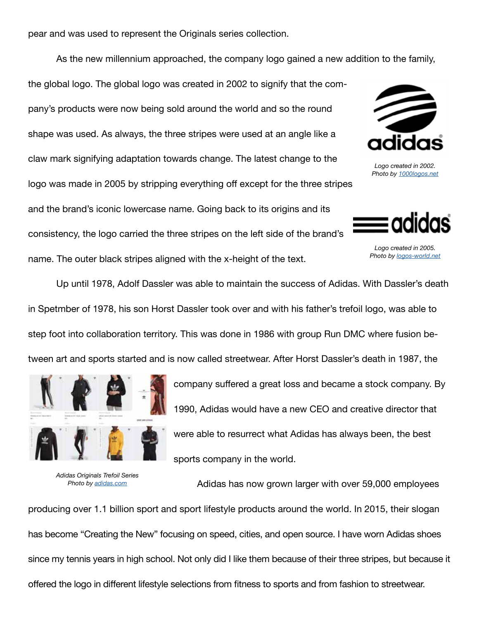pear and was used to represent the Originals series collection.

As the new millennium approached, the company logo gained a new addition to the family,

the global logo. The global logo was created in 2002 to signify that the company's products were now being sold around the world and so the round shape was used. As always, the three stripes were used at an angle like a claw mark signifying adaptation towards change. The latest change to the logo was made in 2005 by stripping everything off except for the three stripes and the brand's iconic lowercase name. Going back to its origins and its consistency, the logo carried the three stripes on the left side of the brand's name. The outer black stripes aligned with the x-height of the text.



*Logo created in 2002. Photo by 1000logos.net*



*Logo created in 2005. Photo by logos-world.net*

Up until 1978, Adolf Dassler was able to maintain the success of Adidas. With Dassler's death in Spetmber of 1978, his son Horst Dassler took over and with his father's trefoil logo, was able to step foot into collaboration territory. This was done in 1986 with group Run DMC where fusion between art and sports started and is now called streetwear. After Horst Dassler's death in 1987, the



*Adidas Originals Trefoil Series Photo by adidas.com*

company suffered a great loss and became a stock company. By 1990, Adidas would have a new CEO and creative director that were able to resurrect what Adidas has always been, the best sports company in the world.

Adidas has now grown larger with over 59,000 employees

producing over 1.1 billion sport and sport lifestyle products around the world. In 2015, their slogan has become "Creating the New" focusing on speed, cities, and open source. I have worn Adidas shoes since my tennis years in high school. Not only did I like them because of their three stripes, but because it offered the logo in different lifestyle selections from fitness to sports and from fashion to streetwear.